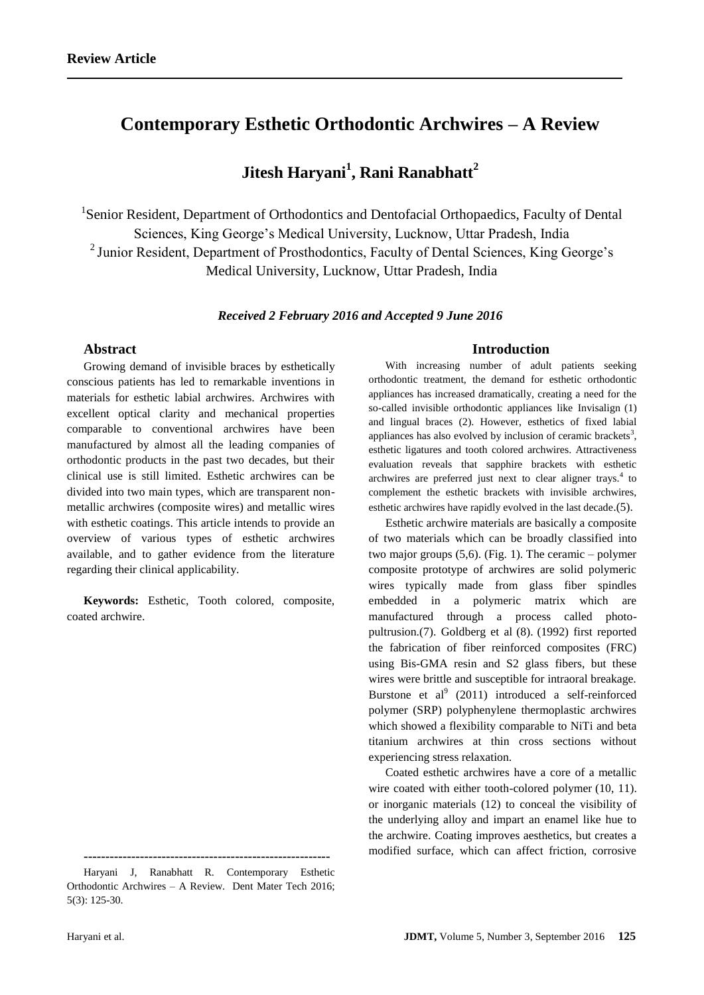# **Contemporary Esthetic Orthodontic Archwires – A Review**

# **Jitesh Haryani<sup>1</sup> , Rani Ranabhatt<sup>2</sup>**

<sup>1</sup>Senior Resident, Department of Orthodontics and Dentofacial Orthopaedics, Faculty of Dental Sciences, King George's Medical University, Lucknow, Uttar Pradesh, India <sup>2</sup> Junior Resident, Department of Prosthodontics, Faculty of Dental Sciences, King George's Medical University, Lucknow, Uttar Pradesh, India

## *Received 2 February 2016 and Accepted 9 June 2016*

## **Abstract**

Growing demand of invisible braces by esthetically conscious patients has led to remarkable inventions in materials for esthetic labial archwires. Archwires with excellent optical clarity and mechanical properties comparable to conventional archwires have been manufactured by almost all the leading companies of orthodontic products in the past two decades, but their clinical use is still limited. Esthetic archwires can be divided into two main types, which are transparent nonmetallic archwires (composite wires) and metallic wires with esthetic coatings. This article intends to provide an overview of various types of esthetic archwires available, and to gather evidence from the literature regarding their clinical applicability.

**Keywords:** Esthetic, Tooth colored, composite, coated archwire.

**---------------------------------------------------------**

# **Introduction**

With increasing number of adult patients seeking orthodontic treatment, the demand for esthetic orthodontic appliances has increased dramatically, creating a need for the so-called invisible orthodontic appliances like Invisalign (1) and lingual braces (2). However, esthetics of fixed labial appliances has also evolved by inclusion of ceramic brackets<sup>3</sup>, esthetic ligatures and tooth colored archwires. Attractiveness evaluation reveals that sapphire brackets with esthetic archwires are preferred just next to clear aligner trays.<sup>4</sup> to complement the esthetic brackets with invisible archwires, esthetic archwires have rapidly evolved in the last decade.(5).

Esthetic archwire materials are basically a composite of two materials which can be broadly classified into two major groups (5,6). (Fig. 1). The ceramic – polymer composite prototype of archwires are solid polymeric wires typically made from glass fiber spindles embedded in a polymeric matrix which are manufactured through a process called photopultrusion.(7). Goldberg et al (8). (1992) first reported the fabrication of fiber reinforced composites (FRC) using Bis-GMA resin and S2 glass fibers, but these wires were brittle and susceptible for intraoral breakage. Burstone et al<sup>9</sup> (2011) introduced a self-reinforced polymer (SRP) polyphenylene thermoplastic archwires which showed a flexibility comparable to NiTi and beta titanium archwires at thin cross sections without experiencing stress relaxation.

Coated esthetic archwires have a core of a metallic wire coated with either tooth-colored polymer (10, 11). or inorganic materials (12) to conceal the visibility of the underlying alloy and impart an enamel like hue to the archwire. Coating improves aesthetics, but creates a modified surface, which can affect friction, corrosive

Haryani J, Ranabhatt R. Contemporary Esthetic Orthodontic Archwires – A Review. Dent Mater Tech 2016; 5(3): 125-30.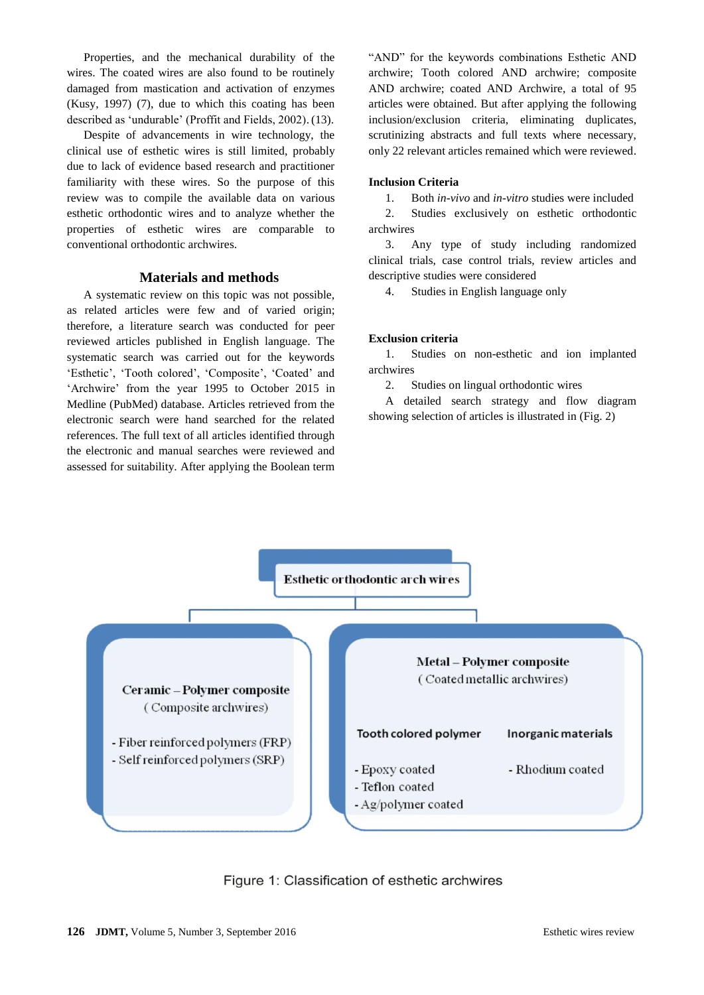Properties, and the mechanical durability of the wires. The coated wires are also found to be routinely damaged from mastication and activation of enzymes (Kusy, 1997) (7), due to which this coating has been described as 'undurable' (Proffit and Fields, 2002).(13).

Despite of advancements in wire technology, the clinical use of esthetic wires is still limited, probably due to lack of evidence based research and practitioner familiarity with these wires. So the purpose of this review was to compile the available data on various esthetic orthodontic wires and to analyze whether the properties of esthetic wires are comparable to conventional orthodontic archwires.

# **Materials and methods**

A systematic review on this topic was not possible, as related articles were few and of varied origin; therefore, a literature search was conducted for peer reviewed articles published in English language. The systematic search was carried out for the keywords 'Esthetic', 'Tooth colored', 'Composite', 'Coated' and 'Archwire' from the year 1995 to October 2015 in Medline (PubMed) database. Articles retrieved from the electronic search were hand searched for the related references. The full text of all articles identified through the electronic and manual searches were reviewed and assessed for suitability. After applying the Boolean term "AND" for the keywords combinations Esthetic AND archwire; Tooth colored AND archwire; composite AND archwire; coated AND Archwire, a total of 95 articles were obtained. But after applying the following inclusion/exclusion criteria, eliminating duplicates, scrutinizing abstracts and full texts where necessary, only 22 relevant articles remained which were reviewed.

### **Inclusion Criteria**

1. Both *in-vivo* and *in-vitro* studies were included

2. Studies exclusively on esthetic orthodontic archwires

3. Any type of study including randomized clinical trials, case control trials, review articles and descriptive studies were considered

4. Studies in English language only

# **Exclusion criteria**

1. Studies on non-esthetic and ion implanted archwires

2. Studies on lingual orthodontic wires

A detailed search strategy and flow diagram showing selection of articles is illustrated in (Fig. 2)



Figure 1: Classification of esthetic archwires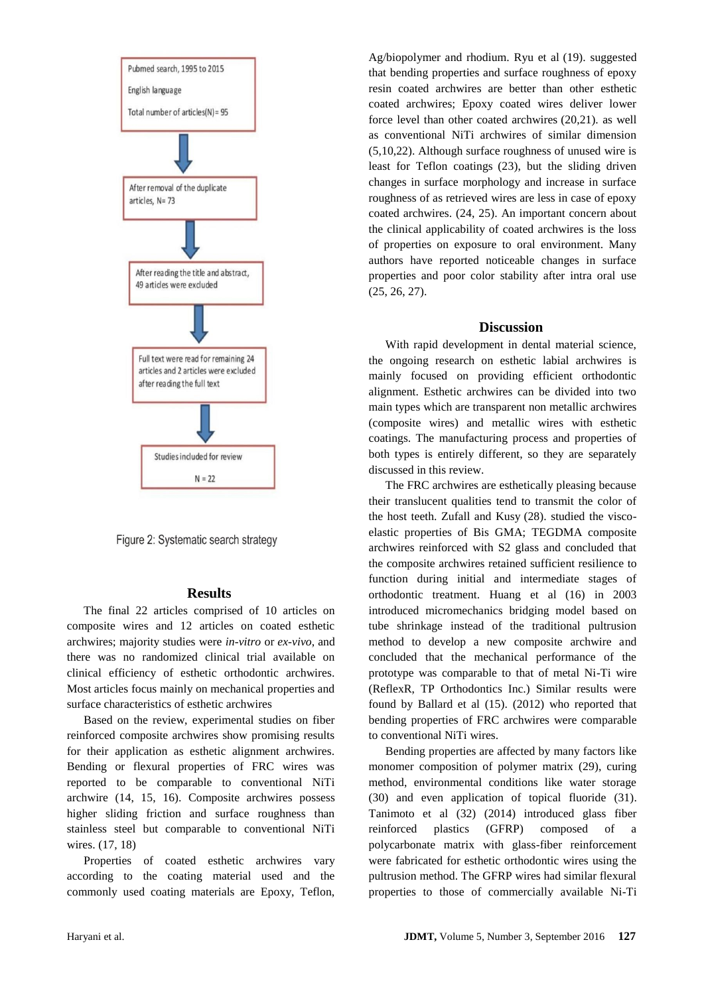

Figure 2: Systematic search strategy

#### **Results**

The final 22 articles comprised of 10 articles on composite wires and 12 articles on coated esthetic archwires; majority studies were *in-vitro* or *ex-vivo*, and there was no randomized clinical trial available on clinical efficiency of esthetic orthodontic archwires. Most articles focus mainly on mechanical properties and surface characteristics of esthetic archwires

Based on the review, experimental studies on fiber reinforced composite archwires show promising results for their application as esthetic alignment archwires. Bending or flexural properties of FRC wires was reported to be comparable to conventional NiTi archwire (14, 15, 16). Composite archwires possess higher sliding friction and surface roughness than stainless steel but comparable to conventional NiTi wires. (17, 18)

Properties of coated esthetic archwires vary according to the coating material used and the commonly used coating materials are Epoxy, Teflon, Ag/biopolymer and rhodium. Ryu et al (19). suggested that bending properties and surface roughness of epoxy resin coated archwires are better than other esthetic coated archwires; Epoxy coated wires deliver lower force level than other coated archwires (20,21). as well as conventional NiTi archwires of similar dimension (5,10,22). Although surface roughness of unused wire is least for Teflon coatings (23), but the sliding driven changes in surface morphology and increase in surface roughness of as retrieved wires are less in case of epoxy coated archwires. (24, 25). An important concern about the clinical applicability of coated archwires is the loss of properties on exposure to oral environment. Many authors have reported noticeable changes in surface properties and poor color stability after intra oral use (25, 26, 27).

#### **Discussion**

With rapid development in dental material science, the ongoing research on esthetic labial archwires is mainly focused on providing efficient orthodontic alignment. Esthetic archwires can be divided into two main types which are transparent non metallic archwires (composite wires) and metallic wires with esthetic coatings. The manufacturing process and properties of both types is entirely different, so they are separately discussed in this review.

The FRC archwires are esthetically pleasing because their translucent qualities tend to transmit the color of the host teeth. Zufall and Kusy (28). studied the viscoelastic properties of Bis GMA; TEGDMA composite archwires reinforced with S2 glass and concluded that the composite archwires retained sufficient resilience to function during initial and intermediate stages of orthodontic treatment. Huang et al (16) in 2003 introduced micromechanics bridging model based on tube shrinkage instead of the traditional pultrusion method to develop a new composite archwire and concluded that the mechanical performance of the prototype was comparable to that of metal Ni-Ti wire (ReflexR, TP Orthodontics Inc.) Similar results were found by Ballard et al (15). (2012) who reported that bending properties of FRC archwires were comparable to conventional NiTi wires.

Bending properties are affected by many factors like monomer composition of polymer matrix (29), curing method, environmental conditions like water storage (30) and even application of topical fluoride (31). Tanimoto et al (32) (2014) introduced glass fiber reinforced plastics (GFRP) composed of a polycarbonate matrix with glass-fiber reinforcement were fabricated for esthetic orthodontic wires using the pultrusion method. The GFRP wires had similar flexural properties to those of commercially available Ni-Ti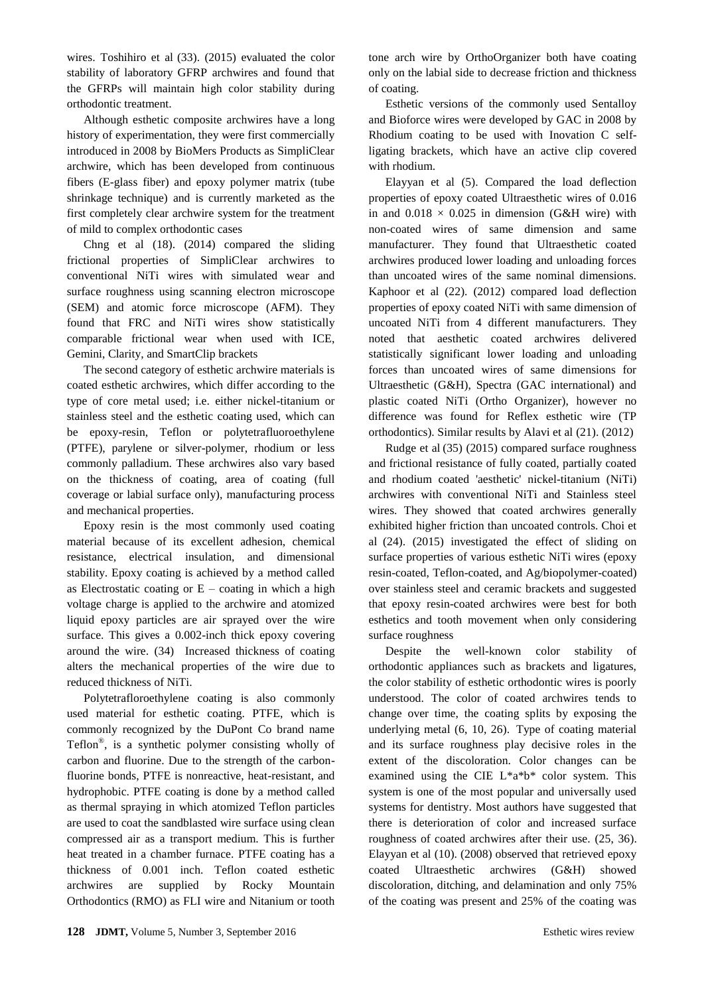wires. Toshihiro et al (33). (2015) evaluated the color stability of laboratory GFRP archwires and found that the GFRPs will maintain high color stability during orthodontic treatment.

Although esthetic composite archwires have a long history of experimentation, they were first commercially introduced in 2008 by BioMers Products as SimpliClear archwire, which has been developed from continuous fibers (E-glass fiber) and epoxy polymer matrix (tube shrinkage technique) and is currently marketed as the first completely clear archwire system for the treatment of mild to complex orthodontic cases

Chng et al (18). (2014) compared the sliding frictional properties of SimpliClear archwires to conventional NiTi wires with simulated wear and surface roughness using scanning electron microscope (SEM) and atomic force microscope (AFM). They found that FRC and NiTi wires show statistically comparable frictional wear when used with ICE, Gemini, Clarity, and SmartClip brackets

The second category of esthetic archwire materials is coated esthetic archwires, which differ according to the type of core metal used; i.e. either nickel-titanium or stainless steel and the esthetic coating used, which can be epoxy-resin, Teflon or polytetrafluoroethylene (PTFE), parylene or silver-polymer, rhodium or less commonly palladium. These archwires also vary based on the thickness of coating, area of coating (full coverage or labial surface only), manufacturing process and mechanical properties.

Epoxy resin is the most commonly used coating material because of its excellent adhesion, chemical resistance, electrical insulation, and dimensional stability. Epoxy coating is achieved by a method called as Electrostatic coating or  $E$  – coating in which a high voltage charge is applied to the archwire and atomized liquid epoxy particles are air sprayed over the wire surface. This gives a 0.002-inch thick epoxy covering around the wire. (34) Increased thickness of coating alters the mechanical properties of the wire due to reduced thickness of NiTi.

Polytetrafloroethylene coating is also commonly used material for esthetic coating. PTFE, which is commonly recognized by the DuPont Co brand name Teflon® , is a synthetic polymer consisting wholly of carbon and fluorine. Due to the strength of the carbonfluorine bonds, PTFE is nonreactive, heat-resistant, and hydrophobic. PTFE coating is done by a method called as thermal spraying in which atomized Teflon particles are used to coat the sandblasted wire surface using clean compressed air as a transport medium. This is further heat treated in a chamber furnace. PTFE coating has a thickness of 0.001 inch. Teflon coated esthetic archwires are supplied by Rocky Mountain Orthodontics (RMO) as FLI wire and Nitanium or tooth tone arch wire by OrthoOrganizer both have coating only on the labial side to decrease friction and thickness of coating.

Esthetic versions of the commonly used Sentalloy and Bioforce wires were developed by GAC in 2008 by Rhodium coating to be used with Inovation C selfligating brackets, which have an active clip covered with rhodium.

Elayyan et al (5). Compared the load deflection properties of epoxy coated Ultraesthetic wires of 0.016 in and  $0.018 \times 0.025$  in dimension (G&H wire) with non-coated wires of same dimension and same manufacturer. They found that Ultraesthetic coated archwires produced lower loading and unloading forces than uncoated wires of the same nominal dimensions. Kaphoor et al (22). (2012) compared load deflection properties of epoxy coated NiTi with same dimension of uncoated NiTi from 4 different manufacturers. They noted that aesthetic coated archwires delivered statistically significant lower loading and unloading forces than uncoated wires of same dimensions for Ultraesthetic (G&H), Spectra (GAC international) and plastic coated NiTi (Ortho Organizer), however no difference was found for Reflex esthetic wire (TP orthodontics). Similar results by Alavi et al (21). (2012)

Rudge et al (35) (2015) compared surface roughness and frictional resistance of fully coated, partially coated and rhodium coated 'aesthetic' nickel-titanium (NiTi) archwires with conventional NiTi and Stainless steel wires. They showed that coated archwires generally exhibited higher friction than uncoated controls. Choi et al (24). (2015) investigated the effect of sliding on surface properties of various esthetic NiTi wires (epoxy resin-coated, Teflon-coated, and Ag/biopolymer-coated) over stainless steel and ceramic brackets and suggested that epoxy resin-coated archwires were best for both esthetics and tooth movement when only considering surface roughness

Despite the well-known color stability of orthodontic appliances such as brackets and ligatures, the color stability of esthetic orthodontic wires is poorly understood. The color of coated archwires tends to change over time, the coating splits by exposing the underlying metal (6, 10, 26). Type of coating material and its surface roughness play decisive roles in the extent of the discoloration. Color changes can be examined using the CIE L\*a\*b\* color system. This system is one of the most popular and universally used systems for dentistry. Most authors have suggested that there is deterioration of color and increased surface roughness of coated archwires after their use. (25, 36). Elayyan et al (10). (2008) observed that retrieved epoxy coated Ultraesthetic archwires (G&H) showed discoloration, ditching, and delamination and only 75% of the coating was present and 25% of the coating was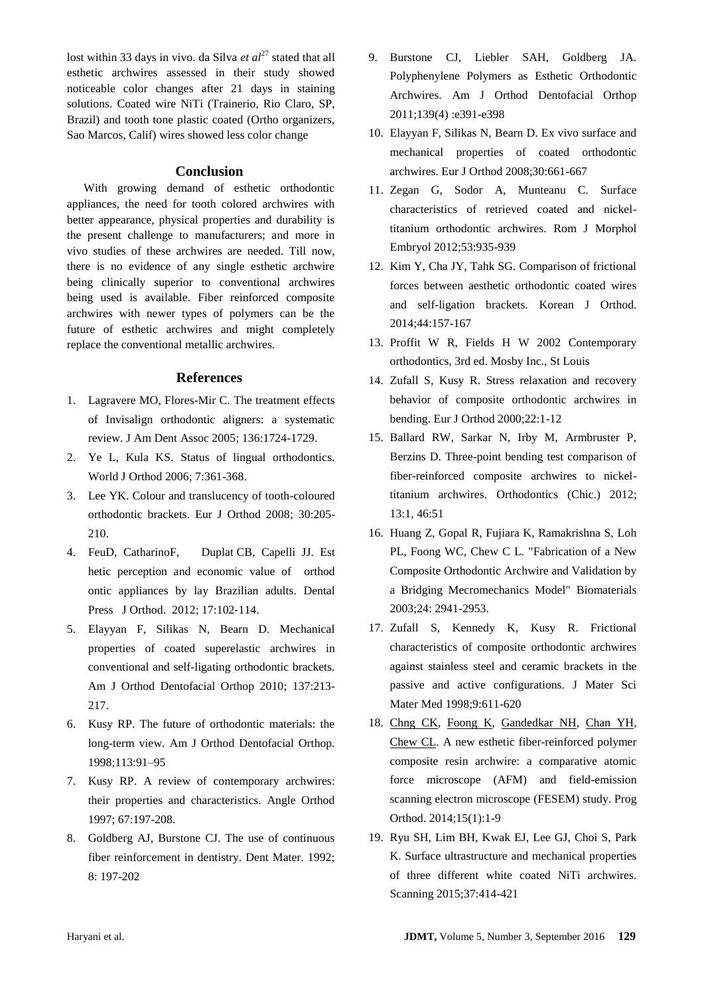lost within 33 days in vivo. da Silva *et al*<sup>27</sup> stated that all esthetic archwires assessed in their study showed noticeable color changes after 21 days in staining solutions. Coated wire NiTi (Trainerio, Rio Claro, SP, Brazil) and tooth tone plastic coated (Ortho organizers, Sao Marcos, Calif) wires showed less color change

## **Conclusion**

With growing demand of esthetic orthodontic appliances, the need for tooth colored archwires with better appearance, physical properties and durability is the present challenge to manufacturers; and more in vivo studies of these archwires are needed. Till now, there is no evidence of any single esthetic archwire being clinically superior to conventional archwires being used is available. Fiber reinforced composite archwires with newer types of polymers can be the future of esthetic archwires and might completely replace the conventional metallic archwires.

### **References**

- 1. Lagravere MO, Flores-Mir C. The treatment effects of Invisalign orthodontic aligners: a systematic review. J Am Dent Assoc 2005; 136:1724-1729.
- 2. Ye L, Kula KS. Status of lingual orthodontics. World J Orthod 2006; 7:361-368.
- 3. Lee YK. Colour and translucency of tooth-coloured orthodontic brackets. Eur J Orthod 2008; 30:205- 210.
- 4. FeuD, CatharinoF, Duplat CB, Capelli JJ. Est hetic perception and economic value of orthod ontic appliances by lay Brazilian adults. Dental Press J Orthod. 2012; 17:102‐114.
- 5. Elayyan F, Silikas N, Bearn D. Mechanical properties of coated superelastic archwires in conventional and self-ligating orthodontic brackets*.*  Am J Orthod Dentofacial Orthop 2010; 137:213- 217.
- 6. Kusy RP. The future of orthodontic materials: the long-term view. Am J Orthod Dentofacial Orthop*.*  1998;113:91–95
- 7. Kusy RP. A review of contemporary archwires: their properties and characteristics. Angle Orthod 1997; 67:197-208.
- 8. Goldberg AJ, Burstone CJ. The use of continuous fiber reinforcement in dentistry. Dent Mater. 1992; 8: 197-202
- 9. Burstone CJ, Liebler SAH, Goldberg JA. Polyphenylene Polymers as Esthetic Orthodontic Archwires. Am J Orthod Dentofacial Orthop 2011;139(4) :e391-e398
- 10. Elayyan F, Silikas N, Bearn D. Ex vivo surface and mechanical properties of coated orthodontic archwires. Eur J Orthod 2008;30:661-667
- 11. Zegan G, Sodor A, Munteanu C. Surface characteristics of retrieved coated and nickeltitanium orthodontic archwires. Rom J Morphol Embryol 2012;53:935-939
- 12. Kim Y, Cha JY, Tahk SG. Comparison of frictional forces between aesthetic orthodontic coated wires and self-ligation brackets. Korean J Orthod. 2014;44:157-167
- 13. Proffit W R, Fields H W 2002 Contemporary orthodontics, 3rd ed. Mosby Inc., St Louis
- 14. Zufall S, Kusy R. Stress relaxation and recovery behavior of composite orthodontic archwires in bending. Eur J Orthod 2000;22:1-12
- 15. Ballard RW, Sarkar N, Irby M, Armbruster P, Berzins D. Three-point bending test comparison of fiber-reinforced composite archwires to nickeltitanium archwires. Orthodontics (Chic.) 2012; 13:1, 46:51
- 16. Huang Z, Gopal R, Fujiara K, Ramakrishna S, Loh PL, Foong WC, Chew C L. "Fabrication of a New Composite Orthodontic Archwire and Validation by a Bridging Mecromechanics Model" Biomaterials 2003;24: 2941-2953.
- 17. Zufall S, Kennedy K, Kusy R. Frictional characteristics of composite orthodontic archwires against stainless steel and ceramic brackets in the passive and active configurations. J Mater Sci Mater Med 1998;9:611-620
- 18. [Chng CK,](http://www.ncbi.nlm.nih.gov/pubmed/?term=Chng%20CK%5BAuthor%5D&cauthor=true&cauthor_uid=24950433) [Foong K,](http://www.ncbi.nlm.nih.gov/pubmed/?term=Foong%20K%5BAuthor%5D&cauthor=true&cauthor_uid=24950433) [Gandedkar NH,](http://www.ncbi.nlm.nih.gov/pubmed/?term=Gandedkar%20NH%5BAuthor%5D&cauthor=true&cauthor_uid=24950433) [Chan YH,](http://www.ncbi.nlm.nih.gov/pubmed/?term=Chan%20YH%5BAuthor%5D&cauthor=true&cauthor_uid=24950433) [Chew CL.](http://www.ncbi.nlm.nih.gov/pubmed/?term=Chew%20CL%5BAuthor%5D&cauthor=true&cauthor_uid=24950433) A new esthetic fiber-reinforced polymer composite resin archwire: a comparative atomic force microscope (AFM) and field-emission scanning electron microscope (FESEM) study. Prog Orthod. 2014;15(1):1-9
- 19. Ryu SH, Lim BH, Kwak EJ, Lee GJ, Choi S, Park K. Surface ultrastructure and mechanical properties of three different white coated NiTi archwires. Scanning 2015;37:414-421